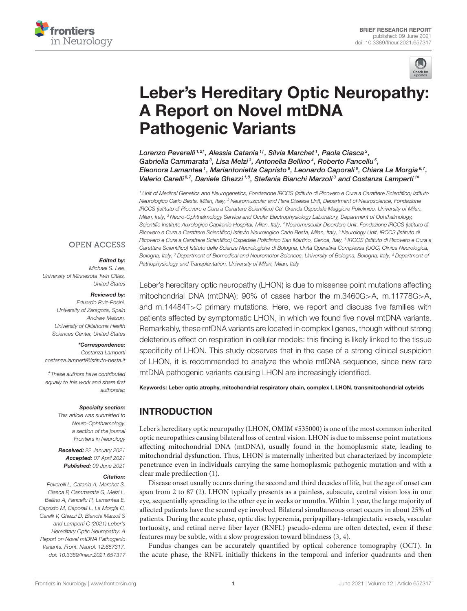



# [Leber's Hereditary Optic Neuropathy:](https://www.frontiersin.org/articles/10.3389/fneur.2021.657317/full) A Report on Novel mtDNA Pathogenic Variants

Lorenzo Peverelli <sup>1,2†</sup>, Alessia Catania <sup>1†</sup>, Silvia Marchet <sup>1</sup>, Paola Ciasca <sup>3</sup>, Gabriella Cammarata<sup>3</sup>, Lisa Melzi<sup>3</sup>, Antonella Bellino<sup>4</sup>, Roberto Fancellu<sup>5</sup>, Eleonora Lamantea <sup>1</sup>, Mariantonietta Capristo <sup>6</sup>, Leonardo Caporali <sup>6</sup>, Chiara La Morgia <sup>6,7</sup>, Valerio Carelli<sup>6,7</sup>, Daniele Ghezzi<sup>1,8</sup>, Stefania Bianchi Marzoli<sup>3</sup> and Costanza Lamperti<sup>1</sup>\*

<sup>1</sup> Unit of Medical Genetics and Neurogenetics, Fondazione IRCCS (Istituto di Ricovero e Cura a Carattere Scientifico) Istituto Neurologico Carlo Besta, Milan, Italy, <sup>2</sup> Neuromuscular and Rare Disease Unit, Department of Neuroscience, Fondazione IRCCS (Istituto di Ricovero e Cura a Carattere Scientifico) Ca' Granda Ospedale Maggiore Policlinico, University of Milan, Milan, Italy, <sup>3</sup> Neuro-Ophthalmology Service and Ocular Electrophysiology Laboratory, Department of Ophthalmology, Scientific Institute Auxologico Capitanio Hospital, Milan, Italy, <sup>4</sup> Neuromuscular Disorders Unit, Fondazione IRCCS (Istituto di Ricovero e Cura a Carattere Scientifico) Istituto Neurologico Carlo Besta, Milan, Italy, <sup>5</sup> Neurology Unit, IRCCS (Istituto di Ricovero e Cura a Carattere Scientifico) Ospedale Policlinico San Martino, Genoa, Italy, <sup>6</sup> IRCCS (Istituto di Ricovero e Cura a Carattere Scientifico) Istituto delle Scienze Neurologiche di Bologna, Unità Operativa Complessa (UOC) Clinica Neurologica, Bologna, Italy, <sup>7</sup> Department of Biomedical and Neuromotor Sciences, University of Bologna, Bologna, Italy, <sup>8</sup> Department of Pathophysiology and Transplantation, University of Milan, Milan, Italy

#### **OPEN ACCESS**

#### Edited by:

Michael S. Lee, University of Minnesota Twin Cities, United States

#### Reviewed by:

Eduardo Ruiz-Pesini, University of Zaragoza, Spain Andrew Melson, University of Oklahoma Health Sciences Center, United States

#### \*Correspondence:

Costanza Lamperti [costanza.lamperti@istituto-besta.it](mailto:costanza.lamperti@istituto-besta.it)

†These authors have contributed equally to this work and share first authorship

#### Specialty section:

This article was submitted to Neuro-Ophthalmology, a section of the journal Frontiers in Neurology

Received: 22 January 2021 Accepted: 07 April 2021 Published: 09 June 2021

#### Citation:

Peverelli L, Catania A, Marchet S, Ciasca P, Cammarata G, Melzi L, Bellino A, Fancellu R, Lamantea E, Capristo M, Caporali L, La Morgia C, Carelli V, Ghezzi D, Bianchi Marzoli S and Lamperti C (2021) Leber's Hereditary Optic Neuropathy: A Report on Novel mtDNA Pathogenic Variants. Front. Neurol. 12:657317. doi: [10.3389/fneur.2021.657317](https://doi.org/10.3389/fneur.2021.657317) Leber's hereditary optic neuropathy (LHON) is due to missense point mutations affecting mitochondrial DNA (mtDNA); 90% of cases harbor the m.3460G>A, m.11778G>A, and m.14484T>C primary mutations. Here, we report and discuss five families with patients affected by symptomatic LHON, in which we found five novel mtDNA variants. Remarkably, these mtDNA variants are located in complex I genes, though without strong deleterious effect on respiration in cellular models: this finding is likely linked to the tissue specificity of LHON. This study observes that in the case of a strong clinical suspicion of LHON, it is recommended to analyze the whole mtDNA sequence, since new rare mtDNA pathogenic variants causing LHON are increasingly identified.

Keywords: Leber optic atrophy, mitochondrial respiratory chain, complex I, LHON, transmitochondrial cybrids

# INTRODUCTION

Leber's hereditary optic neuropathy (LHON, OMIM #535000) is one of the most common inherited optic neuropathies causing bilateral loss of central vision. LHON is due to missense point mutations affecting mitochondrial DNA (mtDNA), usually found in the homoplasmic state, leading to mitochondrial dysfunction. Thus, LHON is maternally inherited but characterized by incomplete penetrance even in individuals carrying the same homoplasmic pathogenic mutation and with a clear male predilection [\(1\)](#page-6-0).

Disease onset usually occurs during the second and third decades of life, but the age of onset can span from 2 to 87 [\(2\)](#page-6-1). LHON typically presents as a painless, subacute, central vision loss in one eye, sequentially spreading to the other eye in weeks or months. Within 1 year, the large majority of affected patients have the second eye involved. Bilateral simultaneous onset occurs in about 25% of patients. During the acute phase, optic disc hyperemia, peripapillary-telangiectatic vessels, vascular tortuosity, and retinal nerve fiber layer (RNFL) pseudo-edema are often detected, even if these features may be subtle, with a slow progression toward blindness [\(3,](#page-6-2) [4\)](#page-6-3).

Fundus changes can be accurately quantified by optical coherence tomography (OCT). In the acute phase, the RNFL initially thickens in the temporal and inferior quadrants and then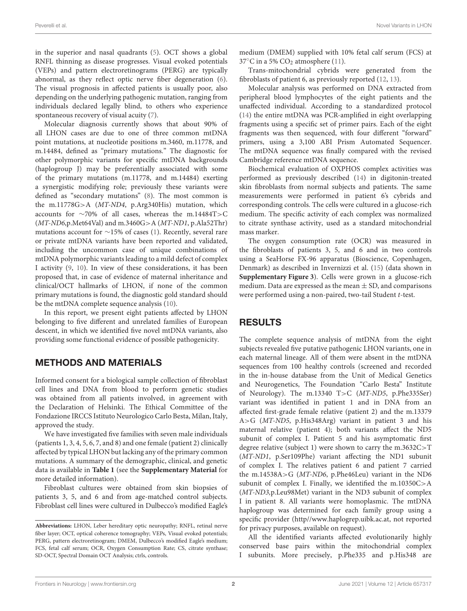Peverelli et al. Novel Variants in LHON

in the superior and nasal quadrants [\(5\)](#page-6-4). OCT shows a global RNFL thinning as disease progresses. Visual evoked potentials (VEPs) and pattern electroretinograms (PERG) are typically abnormal, as they reflect optic nerve fiber degeneration [\(6\)](#page-6-5). The visual prognosis in affected patients is usually poor, also depending on the underlying pathogenic mutation, ranging from individuals declared legally blind, to others who experience spontaneous recovery of visual acuity [\(7\)](#page-6-6).

Molecular diagnosis currently shows that about 90% of all LHON cases are due to one of three common mtDNA point mutations, at nucleotide positions m.3460, m.11778, and m.14484, defined as "primary mutations." The diagnostic for other polymorphic variants for specific mtDNA backgrounds (haplogroup J) may be preferentially associated with some of the primary mutations (m.11778, and m.14484) exerting a synergistic modifying role; previously these variants were defined as "secondary mutations" [\(8\)](#page-6-7). The most common is the m.11778G>A (MT-ND4, p.Arg340His) mutation, which accounts for ∼70% of all cases, whereas the m.14484T>C  $(MT-ND6, p.Met64Val)$  and m.3460G>A  $(MT-ND1, p.Ala52Thr)$ mutations account for ∼15% of cases [\(1\)](#page-6-0). Recently, several rare or private mtDNA variants have been reported and validated, including the uncommon case of unique combinations of mtDNA polymorphic variants leading to a mild defect of complex I activity [\(9,](#page-6-8) [10\)](#page-6-9). In view of these considerations, it has been proposed that, in case of evidence of maternal inheritance and clinical/OCT hallmarks of LHON, if none of the common primary mutations is found, the diagnostic gold standard should be the mtDNA complete sequence analysis [\(10\)](#page-6-9).

In this report, we present eight patients affected by LHON belonging to five different and unrelated families of European descent, in which we identified five novel mtDNA variants, also providing some functional evidence of possible pathogenicity.

#### METHODS AND MATERIALS

Informed consent for a biological sample collection of fibroblast cell lines and DNA from blood to perform genetic studies was obtained from all patients involved, in agreement with the Declaration of Helsinki. The Ethical Committee of the Fondazione IRCCS Istituto Neurologico Carlo Besta, Milan, Italy, approved the study.

We have investigated five families with seven male individuals (patients 1, 3, 4, 5, 6, 7, and 8) and one female (patient 2) clinically affected by typical LHON but lacking any of the primary common mutations. A summary of the demographic, clinical, and genetic data is available in **[Table 1](#page-2-0)** (see the **[Supplementary Material](#page-6-10)** for more detailed information).

Fibroblast cultures were obtained from skin biopsies of patients 3, 5, and 6 and from age-matched control subjects. Fibroblast cell lines were cultured in Dulbecco's modified Eagle's medium (DMEM) supplied with 10% fetal calf serum (FCS) at  $37^{\circ}$ C in a 5% CO<sub>2</sub> atmosphere [\(11\)](#page-6-11).

Trans-mitochondrial cybrids were generated from the fibroblasts of patient 6, as previously reported [\(12,](#page-6-12) [13\)](#page-6-13).

Molecular analysis was performed on DNA extracted from peripheral blood lymphocytes of the eight patients and the unaffected individual. According to a standardized protocol [\(14\)](#page-6-14) the entire mtDNA was PCR-amplified in eight overlapping fragments using a specific set of primer pairs. Each of the eight fragments was then sequenced, with four different "forward" primers, using a 3,100 ABI Prism Automated Sequencer. The mtDNA sequence was finally compared with the revised Cambridge reference mtDNA sequence.

Biochemical evaluation of OXPHOS complex activities was performed as previously described [\(14\)](#page-6-14) in digitonin-treated skin fibroblasts from normal subjects and patients. The same measurements were performed in patient 6's cybrids and corresponding controls. The cells were cultured in a glucose-rich medium. The specific activity of each complex was normalized to citrate synthase activity, used as a standard mitochondrial mass marker.

The oxygen consumption rate (OCR) was measured in the fibroblasts of patients 3, 5, and 6 and in two controls using a SeaHorse FX-96 apparatus (Bioscience, Copenhagen, Denmark) as described in Invernizzi et al. [\(15\)](#page-6-15) (data shown in **[Supplementary Figure 3](#page-6-10)**). Cells were grown in a glucose-rich medium. Data are expressed as the mean  $\pm$  SD, and comparisons were performed using a non-paired, two-tail Student t-test.

## RESULTS

The complete sequence analysis of mtDNA from the eight subjects revealed five putative pathogenic LHON variants, one in each maternal lineage. All of them were absent in the mtDNA sequences from 100 healthy controls (screened and recorded in the in-house database from the Unit of Medical Genetics and Neurogenetics, The Foundation "Carlo Besta" Institute of Neurology). The m.13340 T>C (MT-ND5, p.Phe335Ser) variant was identified in patient 1 and in DNA from an affected first-grade female relative (patient 2) and the m.13379 A>G (MT-ND5, p.His348Arg) variant in patient 3 and his maternal relative (patient 4); both variants affect the ND5 subunit of complex I. Patient 5 and his asymptomatic first degree relative (subject 1) were shown to carry the m.3632C>T (MT-ND1, p.Ser109Phe) variant affecting the ND1 subunit of complex I. The relatives patient 6 and patient 7 carried the m.14538A>G (MT-ND6, p.Phe46Leu) variant in the ND6 subunit of complex I. Finally, we identified the m.10350C>A (MT-ND3,p.Leu98Met) variant in the ND3 subunit of complex I in patient 8. All variants were homoplasmic. The mtDNA haplogroup was determined for each family group using a specific provider (http//www.haplogrep.uibk.ac.at, not reported for privacy purposes, available on request).

All the identified variants affected evolutionarily highly conserved base pairs within the mitochondrial complex I subunits. More precisely, p.Phe335 and p.His348 are

**Abbreviations:** LHON, Leber hereditary optic neuropathy; RNFL, retinal nerve fiber layer; OCT, optical coherence tomography; VEPs, Visual evoked potentials; PERG, pattern electroretinogram; DMEM, Dulbecco's modified Eagle's medium; FCS, fetal calf serum; OCR, Oxygen Consumption Rate; CS, citrate synthase; SD-OCT, Spectral Domain OCT Analysis; ctrls, controls.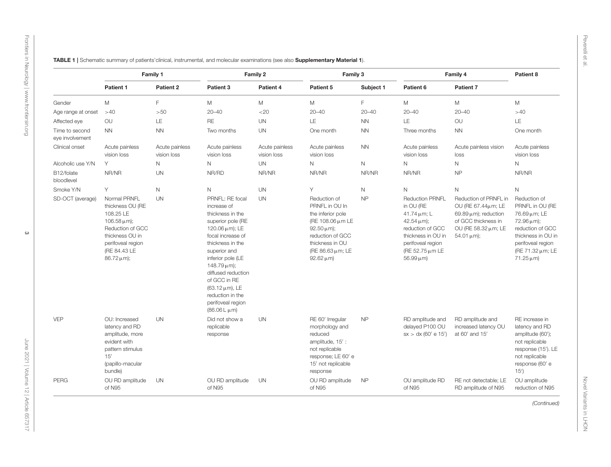<span id="page-2-0"></span>

|                                   | Family 1                                                                                                                                                            |                               | Family 2                                                                                                                                                                                                                                                                                                                          |                               | Family 3                                                                                                                                                                   |              | Family 4                                                                                                                                                                             |                                                                                                                                             | Patient 8                                                                                                                                                                     |
|-----------------------------------|---------------------------------------------------------------------------------------------------------------------------------------------------------------------|-------------------------------|-----------------------------------------------------------------------------------------------------------------------------------------------------------------------------------------------------------------------------------------------------------------------------------------------------------------------------------|-------------------------------|----------------------------------------------------------------------------------------------------------------------------------------------------------------------------|--------------|--------------------------------------------------------------------------------------------------------------------------------------------------------------------------------------|---------------------------------------------------------------------------------------------------------------------------------------------|-------------------------------------------------------------------------------------------------------------------------------------------------------------------------------|
|                                   | Patient 1                                                                                                                                                           | Patient 2                     | Patient 3                                                                                                                                                                                                                                                                                                                         | Patient 4                     | Patient 5                                                                                                                                                                  | Subject 1    | Patient 6                                                                                                                                                                            | Patient 7                                                                                                                                   |                                                                                                                                                                               |
| Gender                            | M                                                                                                                                                                   | F                             | M                                                                                                                                                                                                                                                                                                                                 | M                             | ${\sf M}$                                                                                                                                                                  | F            | M                                                                                                                                                                                    | M                                                                                                                                           | M                                                                                                                                                                             |
| Age range at onset                | >40                                                                                                                                                                 | >50                           | $20 - 40$                                                                                                                                                                                                                                                                                                                         | <20                           | $20 - 40$                                                                                                                                                                  | $20 - 40$    | $20 - 40$                                                                                                                                                                            | $20 - 40$                                                                                                                                   | >40                                                                                                                                                                           |
| Affected eye                      | OU                                                                                                                                                                  | LE                            | <b>RE</b>                                                                                                                                                                                                                                                                                                                         | <b>UN</b>                     | LE                                                                                                                                                                         | <b>NN</b>    | LE                                                                                                                                                                                   | OU                                                                                                                                          | LE                                                                                                                                                                            |
| Time to second<br>eye involvement | <b>NN</b>                                                                                                                                                           | <b>NN</b>                     | Two months                                                                                                                                                                                                                                                                                                                        | <b>UN</b>                     | One month                                                                                                                                                                  | <b>NN</b>    | Three months                                                                                                                                                                         | <b>NN</b>                                                                                                                                   | One month                                                                                                                                                                     |
| Clinical onset                    | Acute painless<br>vision loss                                                                                                                                       | Acute painless<br>vision loss | Acute painless<br>vision loss                                                                                                                                                                                                                                                                                                     | Acute painless<br>vision loss | Acute painless<br>vision loss                                                                                                                                              | <b>NN</b>    | Acute painless<br>vision loss                                                                                                                                                        | Acute painless vision<br>loss                                                                                                               | Acute painless<br>vision loss                                                                                                                                                 |
| Alcoholic use Y/N                 | Y                                                                                                                                                                   | N                             | $\mathsf{N}$                                                                                                                                                                                                                                                                                                                      | <b>UN</b>                     | $\mathsf{N}$                                                                                                                                                               | $\mathsf{N}$ | $\mathsf N$                                                                                                                                                                          | N                                                                                                                                           | $\mathsf{N}$                                                                                                                                                                  |
| B12/folate<br>bloodlevel          | NR/NR                                                                                                                                                               | <b>UN</b>                     | NR/RD                                                                                                                                                                                                                                                                                                                             | NR/NR                         | NR/NR                                                                                                                                                                      | NR/NR        | NR/NR                                                                                                                                                                                | NP                                                                                                                                          | NR/NR                                                                                                                                                                         |
| Smoke Y/N                         | Y                                                                                                                                                                   | N                             | $\mathsf{N}$                                                                                                                                                                                                                                                                                                                      | <b>UN</b>                     | Υ                                                                                                                                                                          | $\mathsf{N}$ | $\mathsf N$                                                                                                                                                                          | $\mathsf N$                                                                                                                                 | $\mathsf N$                                                                                                                                                                   |
| SD-OCT (average)                  | Normal PRNFL<br>thickness OU (RE<br>108.25 LE<br>106.58 $\mu$ m);<br>Reduction of GCC<br>thickness OU in<br>perifoveal region<br>(RE 84.43 LE<br>$86.72 \,\mu m$ ); | <b>UN</b>                     | PRNFL: RE focal<br>increase of<br>thickness in the<br>superior pole (RE<br>120.06 $\mu$ m); LE<br>focal increase of<br>thickness in the<br>superior and<br>inferior pole (LE<br>$148.79 \,\mu m$ );<br>diffused reduction<br>of GCC in RE<br>$(63.12 \,\mu m)$ , LE<br>reduction in the<br>perifoveal region<br>$(86.06 L \mu m)$ | <b>UN</b>                     | Reduction of<br>PRNFL in OU In<br>the inferior pole<br>(RE 108.06 µm LE<br>92.50 $\mu$ m);<br>reduction of GCC<br>thickness in OU<br>(RE 86.63 µm; LE<br>$92.62 \,\mu m$ ) | <b>NP</b>    | <b>Reduction PRNFL</b><br>in OU (RE<br>41.74 $\mu$ m; L<br>$42.54 \,\mu m$ );<br>reduction of GCC<br>thickness in OU in<br>perifoveal region<br>(RE 52.75 µm LE<br>$56.99 \,\mu m$ ) | Reduction of PRNFL in<br>OU (RE 67.44µm; LE<br>69.89 $\mu$ m); reduction<br>of GCC thickness in<br>OU (RE 58.32 μm; LE<br>$54.01 \,\mu m$ : | Reduction of<br>PRNFL in OU (RE<br>76.69 µm; LE<br>$72.96 \,\mu m$ );<br>reduction of GCC<br>thickness in OU in<br>perifoveal region<br>(RE 71.32 μm; LE<br>$71.25 \,\mu m$ ) |
| <b>VEP</b>                        | OU: Increased<br>latency and RD<br>amplitude, more<br>evident with<br>pattern stimulus<br>15'<br>(papillo-macular<br>bundle)                                        | <b>UN</b>                     | Did not show a<br>replicable<br>response                                                                                                                                                                                                                                                                                          | <b>UN</b>                     | RE 60' Irregular<br>morphology and<br>reduced<br>amplitude, 15':<br>not replicable<br>response; LE 60' e<br>15' not replicable<br>response                                 | <b>NP</b>    | RD amplitude and<br>delayed P100 OU<br>sx > dx (60' e 15')                                                                                                                           | RD amplitude and<br>increased latency OU<br>at 60' and 15'                                                                                  | RE increase in<br>latency and RD<br>amplitude (60');<br>not replicable<br>response (15'). LE<br>not replicable<br>response (60' e<br>15'                                      |
| <b>PERG</b>                       | OU RD amplitude<br>of N95                                                                                                                                           | UN                            | OU RD amplitude<br>of N95                                                                                                                                                                                                                                                                                                         | <b>UN</b>                     | OU RD amplitude<br>of N95                                                                                                                                                  | <b>NP</b>    | OU amplitude RD<br>of N95                                                                                                                                                            | RE not detectable; LE<br>RD amplitude of N95                                                                                                | OU amplitude<br>reduction of N95                                                                                                                                              |
|                                   |                                                                                                                                                                     |                               |                                                                                                                                                                                                                                                                                                                                   |                               |                                                                                                                                                                            |              |                                                                                                                                                                                      |                                                                                                                                             | (Continued)                                                                                                                                                                   |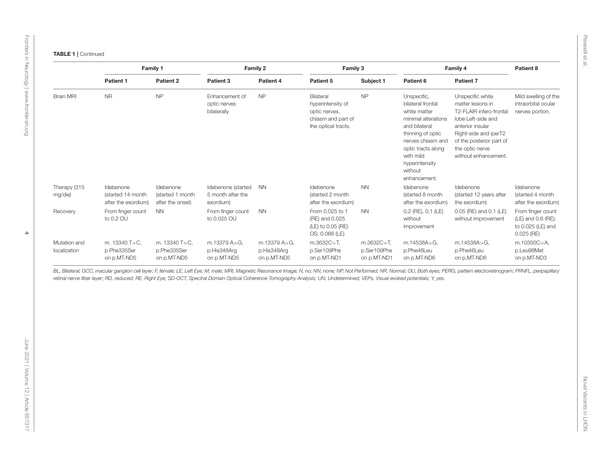| $\overline{a}$              |
|-----------------------------|
|                             |
| ٠<br>i,<br>į<br>I<br>٠<br>٠ |

| Patient 2<br>Patient 3<br>Patient 4<br>Patient 5<br>Subject 1<br>Patient 1<br>Patient 6<br>Patient 7<br>NP<br><b>NR</b><br><b>NP</b><br><b>NP</b><br><b>Brain MRI</b><br>Enhancement of<br>Bilateral<br>Unspecific,<br>Unspecific white<br>hyperintensity of<br>intraorbital ocular<br>optic nerves<br>bilateral frontal<br>matter lesions in<br>bilaterally<br>optic nerves,<br>white matter<br>T2-FLAIR infero-frontal<br>nerves portion.<br>chiasm and part of<br>minimal alterations<br>lobe Left-side and<br>the optical tracts.<br>and bilateral<br>anterior insular<br>thinning of optic<br>Right-side and iperT2<br>nerves chiasm and<br>of the posterior part of<br>the optic nerve<br>optic tracts along<br>with mild<br>without enhancement.<br>hyperintensity<br>without<br>enhancement.<br>Idebenone<br>Idebenone<br>Idebenone (started<br><b>NN</b><br>Idebenone<br><b>NN</b><br>Idebenone<br>Idebenone<br>Idebenone<br>5 month after the<br>(started 4 month<br>(started 14 month<br>(started 1 month<br>(started 2 month<br>(started 8 month<br>(started 12 years after<br>after the exordium)<br>after the onset)<br>exordium)<br>after the exordium)<br>after the exordium)<br>the exordium)<br>From finger count<br><b>NN</b><br>From finger count<br><b>NN</b><br>From 0.025 to 1<br><b>NN</b><br>$0.2$ (RE), $0.1$ (LE)<br>0.05 (RE) and 0.1 (LE)<br>From finger count<br>Recovery<br>to 0.2 OU<br>to 0.025 OU<br>(RE) and 0.025<br>without<br>without improvement<br>(LE) and 0.6 (RE);<br>(LE) to 0.05 (RE)<br>improvement<br>to 0.025 (LE) and | Family 1 |  | Family 2 |  | Family 3       |  | Family 4 |  | Patient 8            |
|------------------------------------------------------------------------------------------------------------------------------------------------------------------------------------------------------------------------------------------------------------------------------------------------------------------------------------------------------------------------------------------------------------------------------------------------------------------------------------------------------------------------------------------------------------------------------------------------------------------------------------------------------------------------------------------------------------------------------------------------------------------------------------------------------------------------------------------------------------------------------------------------------------------------------------------------------------------------------------------------------------------------------------------------------------------------------------------------------------------------------------------------------------------------------------------------------------------------------------------------------------------------------------------------------------------------------------------------------------------------------------------------------------------------------------------------------------------------------------------------------------------------------------------------------------------------|----------|--|----------|--|----------------|--|----------|--|----------------------|
|                                                                                                                                                                                                                                                                                                                                                                                                                                                                                                                                                                                                                                                                                                                                                                                                                                                                                                                                                                                                                                                                                                                                                                                                                                                                                                                                                                                                                                                                                                                                                                        |          |  |          |  |                |  |          |  |                      |
| Therapy (315<br>mg/die)                                                                                                                                                                                                                                                                                                                                                                                                                                                                                                                                                                                                                                                                                                                                                                                                                                                                                                                                                                                                                                                                                                                                                                                                                                                                                                                                                                                                                                                                                                                                                |          |  |          |  |                |  |          |  | Mild swelling of the |
|                                                                                                                                                                                                                                                                                                                                                                                                                                                                                                                                                                                                                                                                                                                                                                                                                                                                                                                                                                                                                                                                                                                                                                                                                                                                                                                                                                                                                                                                                                                                                                        |          |  |          |  |                |  |          |  | after the exordium)  |
|                                                                                                                                                                                                                                                                                                                                                                                                                                                                                                                                                                                                                                                                                                                                                                                                                                                                                                                                                                                                                                                                                                                                                                                                                                                                                                                                                                                                                                                                                                                                                                        |          |  |          |  | OS: 0.066 (LE) |  |          |  | $0.025$ (RE)         |
| m.13379 A>G,<br>m.13379 A>G,<br>Mutation and<br>m. 13340 T>C.<br>m. 13340 T>C,<br>m.3632C>T,<br>m.3632C>T,<br>m.14538A>G,<br>m.14538A>G,<br>m.10350C>A,<br>localization<br>p.Phe335Ser<br>p.Phe335Ser<br>p.His348Arg<br>p.His348Arg<br>p.Ser109Phe<br>p.Ser109Phe<br>p.Phe46Leu<br>p.Phe46Leu<br>p.Leu98Met<br>on p.MT-ND5<br>on p.MT-ND5<br>on p.MT-ND5<br>on p.MT-ND5<br>on p.MT-ND1<br>on p.MT-ND1<br>on p.MT-ND6<br>on p.MT-ND6<br>on p.MT-ND3                                                                                                                                                                                                                                                                                                                                                                                                                                                                                                                                                                                                                                                                                                                                                                                                                                                                                                                                                                                                                                                                                                                     |          |  |          |  |                |  |          |  |                      |
|                                                                                                                                                                                                                                                                                                                                                                                                                                                                                                                                                                                                                                                                                                                                                                                                                                                                                                                                                                                                                                                                                                                                                                                                                                                                                                                                                                                                                                                                                                                                                                        |          |  |          |  |                |  |          |  |                      |
|                                                                                                                                                                                                                                                                                                                                                                                                                                                                                                                                                                                                                                                                                                                                                                                                                                                                                                                                                                                                                                                                                                                                                                                                                                                                                                                                                                                                                                                                                                                                                                        |          |  |          |  |                |  |          |  |                      |
|                                                                                                                                                                                                                                                                                                                                                                                                                                                                                                                                                                                                                                                                                                                                                                                                                                                                                                                                                                                                                                                                                                                                                                                                                                                                                                                                                                                                                                                                                                                                                                        |          |  |          |  |                |  |          |  |                      |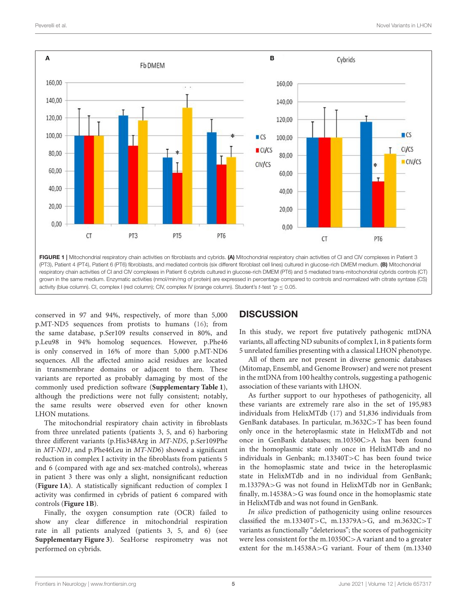

<span id="page-4-0"></span>conserved in 97 and 94%, respectively, of more than 5,000 p.MT-ND5 sequences from protists to humans [\(16\)](#page-6-17); from the same database, p.Ser109 results conserved in 80%, and p.Leu98 in 94% homolog sequences. However, p.Phe46 is only conserved in 16% of more than 5,000 p.MT-ND6 sequences. All the affected amino acid residues are located in transmembrane domains or adjacent to them. These variants are reported as probably damaging by most of the commonly used prediction software (**[Supplementary Table 1](#page-6-10)**), although the predictions were not fully consistent; notably, the same results were observed even for other known LHON mutations.

The mitochondrial respiratory chain activity in fibroblasts from three unrelated patients (patients 3, 5, and 6) harboring three different variants (p.His348Arg in MT-ND5, p.Ser109Phe in MT-ND1, and p.Phe46Leu in MT-ND6) showed a significant reduction in complex I activity in the fibroblasts from patients 5 and 6 (compared with age and sex-matched controls), whereas in patient 3 there was only a slight, nonsignificant reduction (**[Figure 1A](#page-4-0)**). A statistically significant reduction of complex I activity was confirmed in cybrids of patient 6 compared with controls (**[Figure 1B](#page-4-0)**).

Finally, the oxygen consumption rate (OCR) failed to show any clear difference in mitochondrial respiration rate in all patients analyzed (patients 3, 5, and 6) (see **[Supplementary Figure 3](#page-6-10)**). SeaHorse respirometry was not performed on cybrids.

# **DISCUSSION**

In this study, we report five putatively pathogenic mtDNA variants, all affecting ND subunits of complex I, in 8 patients form 5 unrelated families presenting with a classical LHON phenotype.

All of them are not present in diverse genomic databases (Mitomap, Ensembl, and Genome Browser) and were not present in the mtDNA from 100 healthy controls, suggesting a pathogenic association of these variants with LHON.

As further support to our hypotheses of pathogenicity, all these variants are extremely rare also in the set of 195,983 individuals from HelixMTdb [\(17\)](#page-6-18) and 51,836 individuals from GenBank databases. In particular, m.3632C>T has been found only once in the heteroplasmic state in HelixMTdb and not once in GenBank databases; m.10350C>A has been found in the homoplasmic state only once in HelixMTdb and no individuals in Genbank; m.13340T>C has been found twice in the homoplasmic state and twice in the heteroplasmic state in HelixMTdb and in no individual from GenBank; m.13379A>G was not found in HelixMTdb nor in GenBank; finally, m.14538A>G was found once in the homoplasmic state in HelixMTdb and was not found in GenBank.

In silico prediction of pathogenicity using online resources classified the m.13340T>C, m.13379A>G, and m.3632C>T variants as functionally "deleterious"; the scores of pathogenicity were less consistent for the m.10350C>A variant and to a greater extent for the m.14538A>G variant. Four of them (m.13340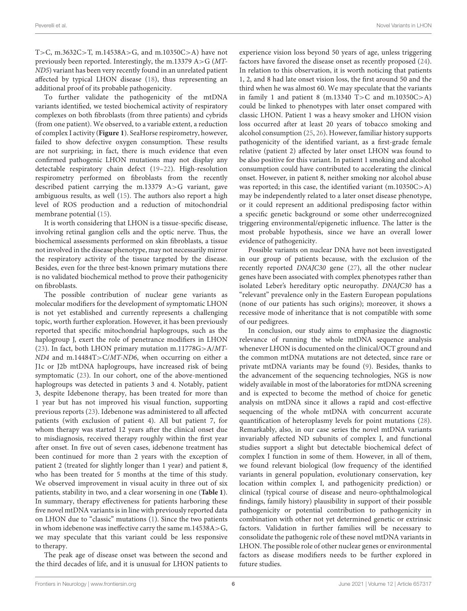T>C, m.3632C>T, m.14538A>G, and m.10350C>A) have not previously been reported. Interestingly, the m.13379 A>G (MT-ND5) variant has been very recently found in an unrelated patient affected by typical LHON disease [\(18\)](#page-6-19), thus representing an additional proof of its probable pathogenicity.

To further validate the pathogenicity of the mtDNA variants identified, we tested biochemical activity of respiratory complexes on both fibroblasts (from three patients) and cybrids (from one patient). We observed, to a variable extent, a reduction of complex I activity (**[Figure 1](#page-4-0)**). SeaHorse respirometry, however, failed to show defective oxygen consumption. These results are not surprising; in fact, there is much evidence that even confirmed pathogenic LHON mutations may not display any detectable respiratory chain defect [\(19–](#page-6-20)[22\)](#page-6-21). High-resolution respirometry performed on fibroblasts from the recently described patient carrying the m.13379 A>G variant, gave ambiguous results, as well [\(15\)](#page-6-15). The authors also report a high level of ROS production and a reduction of mitochondrial membrane potential [\(15\)](#page-6-15).

It is worth considering that LHON is a tissue-specific disease, involving retinal ganglion cells and the optic nerve. Thus, the biochemical assessments performed on skin fibroblasts, a tissue not involved in the disease phenotype, may not necessarily mirror the respiratory activity of the tissue targeted by the disease. Besides, even for the three best-known primary mutations there is no validated biochemical method to prove their pathogenicity on fibroblasts.

The possible contribution of nuclear gene variants as molecular modifiers for the development of symptomatic LHON is not yet established and currently represents a challenging topic, worth further exploration. However, it has been previously reported that specific mitochondrial haplogroups, such as the haplogroup J, exert the role of penetrance modifiers in LHON [\(23\)](#page-6-22). In fact, both LHON primary mutation m.11778G>A/MT-ND4 and m.14484T>C/MT-ND6, when occurring on either a J1c or J2b mtDNA haplogroups, have increased risk of being symptomatic [\(23\)](#page-6-22). In our cohort, one of the above-mentioned haplogroups was detected in patients 3 and 4. Notably, patient 3, despite Idebenone therapy, has been treated for more than 1 year but has not improved his visual function, supporting previous reports [\(23\)](#page-6-22). Idebenone was administered to all affected patients (with exclusion of patient 4). All but patient 7, for whom therapy was started 12 years after the clinical onset due to misdiagnosis, received therapy roughly within the first year after onset. In five out of seven cases, idebenone treatment has been continued for more than 2 years with the exception of patient 2 (treated for slightly longer than 1 year) and patient 8, who has been treated for 5 months at the time of this study. We observed improvement in visual acuity in three out of six patients, stability in two, and a clear worsening in one (**[Table 1](#page-2-0)**). In summary, therapy effectiveness for patients harboring these five novel mtDNA variants is in line with previously reported data on LHON due to "classic" mutations [\(1\)](#page-6-0). Since the two patients in whom idebenone was ineffective carry the same m.14538A>G, we may speculate that this variant could be less responsive to therapy.

The peak age of disease onset was between the second and the third decades of life, and it is unusual for LHON patients to experience vision loss beyond 50 years of age, unless triggering factors have favored the disease onset as recently proposed [\(24\)](#page-7-0). In relation to this observation, it is worth noticing that patients 1, 2, and 8 had late onset vision loss, the first around 50 and the third when he was almost 60. We may speculate that the variants in family 1 and patient 8 (m.13340  $T>C$  and m.10350 $C > A$ ) could be linked to phenotypes with later onset compared with classic LHON. Patient 1 was a heavy smoker and LHON vision loss occurred after at least 20 years of tobacco smoking and alcohol consumption [\(25,](#page-7-1) [26\)](#page-7-2). However, familiar history supports pathogenicity of the identified variant, as a first-grade female relative (patient 2) affected by later onset LHON was found to be also positive for this variant. In patient 1 smoking and alcohol consumption could have contributed to accelerating the clinical onset. However, in patient 8, neither smoking nor alcohol abuse was reported; in this case, the identified variant (m.10350C>A) may be independently related to a later onset disease phenotype, or it could represent an additional predisposing factor within a specific genetic background or some other underrecognized triggering environmental/epigenetic influence. The latter is the most probable hypothesis, since we have an overall lower evidence of pathogenicity.

Possible variants on nuclear DNA have not been investigated in our group of patients because, with the exclusion of the recently reported DNAJC30 gene [\(27\)](#page-7-3), all the other nuclear genes have been associated with complex phenotypes rather than isolated Leber's hereditary optic neuropathy. DNAJC30 has a "relevant" prevalence only in the Eastern European populations (none of our patients has such origins); moreover, it shows a recessive mode of inheritance that is not compatible with some of our pedigrees.

In conclusion, our study aims to emphasize the diagnostic relevance of running the whole mtDNA sequence analysis whenever LHON is documented on the clinical/OCT ground and the common mtDNA mutations are not detected, since rare or private mtDNA variants may be found [\(9\)](#page-6-8). Besides, thanks to the advancement of the sequencing technologies, NGS is now widely available in most of the laboratories for mtDNA screening and is expected to become the method of choice for genetic analysis on mtDNA since it allows a rapid and cost-effective sequencing of the whole mtDNA with concurrent accurate quantification of heteroplasmy levels for point mutations [\(28\)](#page-7-4). Remarkably, also, in our case series the novel mtDNA variants invariably affected ND subunits of complex I, and functional studies support a slight but detectable biochemical defect of complex I function in some of them. However, in all of them, we found relevant biological (low frequency of the identified variants in general population, evolutionary conservation, key location within complex I, and pathogenicity prediction) or clinical (typical course of disease and neuro-ophthalmological findings, family history) plausibility in support of their possible pathogenicity or potential contribution to pathogenicity in combination with other not yet determined genetic or extrinsic factors. Validation in further families will be necessary to consolidate the pathogenic role of these novel mtDNA variants in LHON. The possible role of other nuclear genes or environmental factors as disease modifiers needs to be further explored in future studies.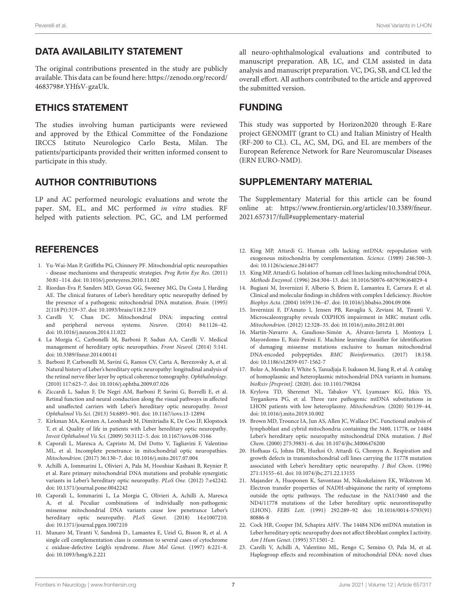# DATA AVAILABILITY STATEMENT

The original contributions presented in the study are publicly available. This data can be found here: [https://zenodo.org/record/](https://zenodo.org/record/4683798#.YHfsV-gzaUk) [4683798#.YHfsV-gzaUk.](https://zenodo.org/record/4683798#.YHfsV-gzaUk)

### ETHICS STATEMENT

The studies involving human participants were reviewed and approved by the Ethical Committee of the Fondazione IRCCS Istituto Neurologico Carlo Besta, Milan. The patients/participants provided their written informed consent to participate in this study.

### AUTHOR CONTRIBUTIONS

LP and AC performed neurologic evaluations and wrote the paper. SM, EL, and MC performed in vitro studies. RF helped with patients selection. PC, GC, and LM performed

# **REFERENCES**

- <span id="page-6-0"></span>1. Yu-Wai-Man P, Griffiths PG, Chinnery PF. Mitochondrial optic neuropathies - disease mechanisms and therapeutic strategies. Prog Retin Eye Res. (2011) 30:81–114. doi: [10.1016/j.preteyeres.2010.11.002](https://doi.org/10.1016/j.preteyeres.2010.11.002)
- <span id="page-6-1"></span>2. Riordan-Eva P, Sanders MD, Govan GG, Sweeney MG, Da Costa J, Harding AE. The clinical features of Leber's hereditary optic neuropathy defined by the presence of a pathogenic mitochondrial DNA mutation. Brain. (1995) 2(118 Pt):319–37. doi: [10.1093/brain/118.2.319](https://doi.org/10.1093/brain/118.2.319)
- <span id="page-6-2"></span>3. Carelli V, Chan DC. Mitochondrial DNA: impacting central and peripheral nervous systems. Neuron. (2014) 84:1126–42. doi: [10.1016/j.neuron.2014.11.022](https://doi.org/10.1016/j.neuron.2014.11.022)
- <span id="page-6-3"></span>4. La Morgia C, Carbonelli M, Barboni P, Sadun AA, Carelli V. Medical management of hereditary optic neuropathies. Front Neurol. (2014) 5:141. doi: [10.3389/fneur.2014.00141](https://doi.org/10.3389/fneur.2014.00141)
- <span id="page-6-4"></span>5. Barboni P, Carbonelli M, Savini G, Ramos CV, Carta A, Berezovsky A, et al. Natural history of Leber's hereditary optic neuropathy: longitudinal analysis of the retinal nerve fiber layer by optical coherence tomography. Ophthalmology. (2010) 117:623–7. doi: [10.1016/j.ophtha.2009.07.026](https://doi.org/10.1016/j.ophtha.2009.07.026)
- <span id="page-6-5"></span>6. Ziccardi L, Sadun F, De Negri AM, Barboni P, Savini G, Borrelli E, et al. Retinal function and neural conduction along the visual pathways in affected and unaffected carriers with Leber's hereditary optic neuropathy. Invest Ophthalmol Vis Sci. (2013) 54:6893–901. doi: [10.1167/iovs.13-12894](https://doi.org/10.1167/iovs.13-12894)
- <span id="page-6-6"></span>7. Kirkman MA, Korsten A, Leonhardt M, Dimitriadis K, De Coo IF, Klopstock T, et al. Quality of life in patients with Leber hereditary optic neuropathy. Invest Ophthalmol Vis Sci. (2009) 50:3112–5. doi: [10.1167/iovs.08-3166](https://doi.org/10.1167/iovs.08-3166)
- <span id="page-6-7"></span>8. Caporali L, Maresca A, Capristo M, Del Dotto V, Tagliavini F, Valentino ML, et al. Incomplete penetrance in mitochondrial optic neuropathies. Mitochondrion. (2017) 36:130–7. doi: [10.1016/j.mito.2017.07.004](https://doi.org/10.1016/j.mito.2017.07.004)
- <span id="page-6-8"></span>9. Achilli A, Iommarini L, Olivieri A, Pala M, Hooshiar Kashani B, Reynier P, et al. Rare primary mitochondrial DNA mutations and probable synergistic variants in Leber's hereditary optic neuropathy. PLoS One. (2012) 7:e42242. doi: [10.1371/journal.pone.0042242](https://doi.org/10.1371/journal.pone.0042242)
- <span id="page-6-9"></span>10. Caporali L, Iommarini L, La Morgia C, Olivieri A, Achilli A, Maresca A, et al. Peculiar combinations of individually non-pathogenic missense mitochondrial DNA variants cause low penetrance Leber's hereditary optic neuropathy. PLoS Genet. (2018) 14:e1007210. doi: [10.1371/journal.pgen.1007210](https://doi.org/10.1371/journal.pgen.1007210)
- <span id="page-6-11"></span>11. Munaro M, Tiranti V, Sandonà D., Lamantea E, Uziel G, Bisson R, et al. A single cell complementation class is common to several cases of cytochrome c oxidase-defective Leigh's syndrome. Hum Mol Genet. (1997) 6:221–8. doi: [10.1093/hmg/6.2.221](https://doi.org/10.1093/hmg/6.2.221)

all neuro-ophthalmological evaluations and contributed to manuscript preparation. AB, LC, and CLM assisted in data analysis and manuscript preparation. VC, DG, SB, and CL led the overall effort. All authors contributed to the article and approved the submitted version.

### FUNDING

This study was supported by Horizon2020 through E-Rare project GENOMIT (grant to CL) and Italian Ministry of Health (RF-200 to CL). CL, AC, SM, DG, and EL are members of the European Reference Network for Rare Neuromuscular Diseases (ERN EURO-NMD).

#### SUPPLEMENTARY MATERIAL

<span id="page-6-10"></span>The Supplementary Material for this article can be found [online at: https://www.frontiersin.org/articles/10.3389/fneur.](https://www.frontiersin.org/articles/10.3389/fneur.2021.657317/full#supplementary-material) 2021.657317/full#supplementary-material

- <span id="page-6-16"></span><span id="page-6-12"></span>12. King MP, Attardi G. Human cells lacking mtDNA: repopulation with exogenous mitochondria by complementation. Science. (1989) 246:500–3. doi: [10.1126/science.2814477](https://doi.org/10.1126/science.2814477)
- <span id="page-6-13"></span>13. King MP, Attardi G. Isolation of human cell lines lacking mitochondrial DNA. Methods Enzymol. (1996) 264:304–13. doi: [10.1016/S0076-6879\(96\)64029-4](https://doi.org/10.1016/S0076-6879(96)64029-4)
- <span id="page-6-14"></span>14. Bugiani M, Invernizzi F, Alberio S, Briem E, Lamantea E, Carrara F, et al. Clinical and molecular findings in children with complex I deficiency. Biochim Biophys Acta. (2004) 1659:136–47. doi: [10.1016/j.bbabio.2004.09.006](https://doi.org/10.1016/j.bbabio.2004.09.006)
- <span id="page-6-15"></span>15. Invernizzi F, D'Amato I, Jensen PB, Ravaglia S, Zeviani M, Tiranti V. Microscaleoxygraphy reveals OXPHOS impairment in MRC mutant cells. Mitochondrion. (2012) 12:328–35. doi: [10.1016/j.mito.2012.01.001](https://doi.org/10.1016/j.mito.2012.01.001)
- <span id="page-6-17"></span>16. Martín-Navarro A, Gaudioso-Simón A, Álvarez-Jarreta J, Montoya J, Mayordomo E, Ruiz-Pesini E. Machine learning classifier for identification of damaging missense mutations exclusive to human mitochondrial DNA-encoded polypeptides. BMC Bioinformatics. (2017) 18:158. doi: [10.1186/s12859-017-1562-7](https://doi.org/10.1186/s12859-017-1562-7)
- <span id="page-6-18"></span>17. Bolze A, Mendez F, White S, Tanudjaja F, Isaksson M, Jiang R, et al. A catalog of homoplasmic and heteroplasmic mitochondrial DNA variants in humans. bioRxiv [Preprint]. (2020). doi: [10.1101/798264](https://doi.org/10.1101/798264)
- <span id="page-6-19"></span>18. Krylova TD, Sheremet NL, Tabakov VY, Lyamzaev KG, Itkis YS, Tsygankova PG, et al. Three rare pathogenic mtDNA substitutions in LHON patients with low heteroplasmy. Mitochondrion. (2020) 50:139–44. doi: [10.1016/j.mito.2019.10.002](https://doi.org/10.1016/j.mito.2019.10.002)
- <span id="page-6-20"></span>19. Brown MD, Trounce IA, Jun AS, Allen JC, Wallace DC. Functional analysis of lymphoblast and cybrid mitochondria containing the 3460, 11778, or 14484 Leber's hereditary optic neuropathy mitochondrial DNA mutation. J Biol Chem. (2000) 275:39831–6. doi: [10.1074/jbc.M006476200](https://doi.org/10.1074/jbc.M006476200)
- 20. Hofhaus G, Johns DR, Hurkoi O, Attardi G, Chomyn A. Respiration and growth defects in transmitochondrial cell lines carrying the 11778 mutation associated with Leber's hereditary optic neuropathy. J Biol Chem. (1996) 271:13155–61. doi: [10.1074/jbc.271.22.13155](https://doi.org/10.1074/jbc.271.22.13155)
- 21. Majander A, Huoponen K, Savontaus M, Nikoskelainen EK, Wikstrom M. Electron transfer properties of NADH-ubiquinone the rarity of symptoms outside the optic pathways. The reductase in the NA1/3460 and the ND4/11778 mutations of the Leber hereditary optic neuroretinopathy (LHON). FEBS Lett. [\(1991\) 292:289–92 doi: 10.1016/0014-5793\(91\)](https://doi.org/10.1016/0014-5793(91)80886-8) 80886-8
- <span id="page-6-21"></span>22. Cock HR, Cooper JM, Schapira AHV. The 14484 ND6 mtDNA mutation in Leber hereditary optic neuropathy does not affect fibroblast complex I activity. Am J Hum Genet. (1995) 57:1501–2.
- <span id="page-6-22"></span>23. Carelli V, Achilli A, Valentino ML, Rengo C, Semino O, Pala M, et al. Haplogroup effects and recombination of mitochondrial DNA: novel clues